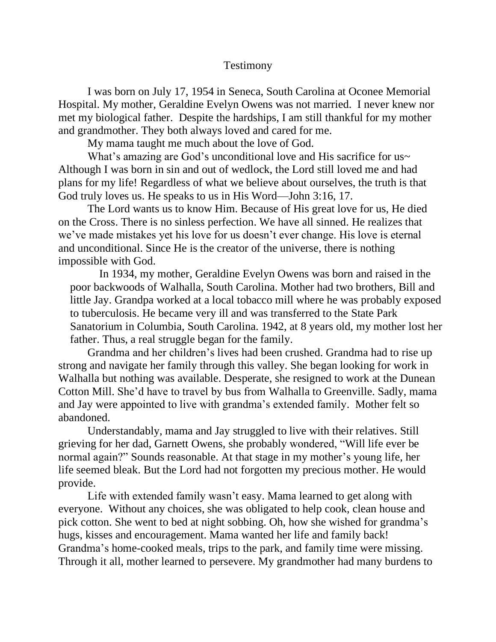## Testimony

I was born on July 17, 1954 in Seneca, South Carolina at Oconee Memorial Hospital. My mother, Geraldine Evelyn Owens was not married. I never knew nor met my biological father. Despite the hardships, I am still thankful for my mother and grandmother. They both always loved and cared for me.

My mama taught me much about the love of God.

What's amazing are God's unconditional love and His sacrifice for us~ Although I was born in sin and out of wedlock, the Lord still loved me and had plans for my life! Regardless of what we believe about ourselves, the truth is that God truly loves us. He speaks to us in His Word—John 3:16, 17.

The Lord wants us to know Him. Because of His great love for us, He died on the Cross. There is no sinless perfection. We have all sinned. He realizes that we've made mistakes yet his love for us doesn't ever change. His love is eternal and unconditional. Since He is the creator of the universe, there is nothing impossible with God.

In 1934, my mother, Geraldine Evelyn Owens was born and raised in the poor backwoods of Walhalla, South Carolina. Mother had two brothers, Bill and little Jay. Grandpa worked at a local tobacco mill where he was probably exposed to tuberculosis. He became very ill and was transferred to the State Park Sanatorium in Columbia, South Carolina. 1942, at 8 years old, my mother lost her father. Thus, a real struggle began for the family.

Grandma and her children's lives had been crushed. Grandma had to rise up strong and navigate her family through this valley. She began looking for work in Walhalla but nothing was available. Desperate, she resigned to work at the Dunean Cotton Mill. She'd have to travel by bus from Walhalla to Greenville. Sadly, mama and Jay were appointed to live with grandma's extended family. Mother felt so abandoned.

Understandably, mama and Jay struggled to live with their relatives. Still grieving for her dad, Garnett Owens, she probably wondered, "Will life ever be normal again?" Sounds reasonable. At that stage in my mother's young life, her life seemed bleak. But the Lord had not forgotten my precious mother. He would provide.

Life with extended family wasn't easy. Mama learned to get along with everyone. Without any choices, she was obligated to help cook, clean house and pick cotton. She went to bed at night sobbing. Oh, how she wished for grandma's hugs, kisses and encouragement. Mama wanted her life and family back! Grandma's home-cooked meals, trips to the park, and family time were missing. Through it all, mother learned to persevere. My grandmother had many burdens to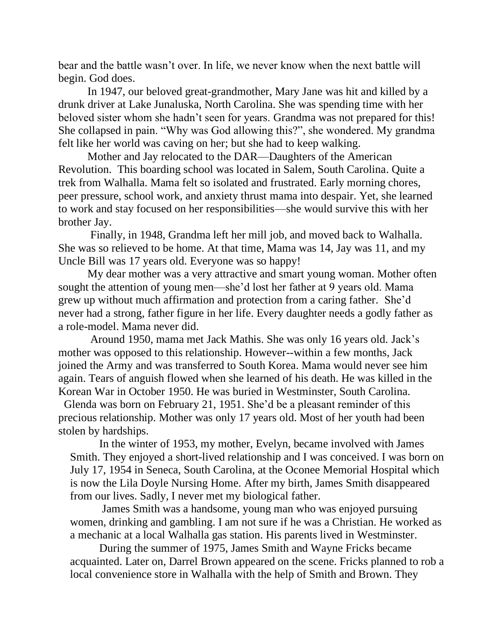bear and the battle wasn't over. In life, we never know when the next battle will begin. God does.

In 1947, our beloved great-grandmother, Mary Jane was hit and killed by a drunk driver at Lake Junaluska, North Carolina. She was spending time with her beloved sister whom she hadn't seen for years. Grandma was not prepared for this! She collapsed in pain. "Why was God allowing this?", she wondered. My grandma felt like her world was caving on her; but she had to keep walking.

Mother and Jay relocated to the DAR—Daughters of the American Revolution. This boarding school was located in Salem, South Carolina. Quite a trek from Walhalla. Mama felt so isolated and frustrated. Early morning chores, peer pressure, school work, and anxiety thrust mama into despair. Yet, she learned to work and stay focused on her responsibilities—she would survive this with her brother Jay.

Finally, in 1948, Grandma left her mill job, and moved back to Walhalla. She was so relieved to be home. At that time, Mama was 14, Jay was 11, and my Uncle Bill was 17 years old. Everyone was so happy!

My dear mother was a very attractive and smart young woman. Mother often sought the attention of young men—she'd lost her father at 9 years old. Mama grew up without much affirmation and protection from a caring father. She'd never had a strong, father figure in her life. Every daughter needs a godly father as a role-model. Mama never did.

Around 1950, mama met Jack Mathis. She was only 16 years old. Jack's mother was opposed to this relationship. However--within a few months, Jack joined the Army and was transferred to South Korea. Mama would never see him again. Tears of anguish flowed when she learned of his death. He was killed in the Korean War in October 1950. He was buried in Westminster, South Carolina.

Glenda was born on February 21, 1951. She'd be a pleasant reminder of this precious relationship. Mother was only 17 years old. Most of her youth had been stolen by hardships.

In the winter of 1953, my mother, Evelyn, became involved with James Smith. They enjoyed a short-lived relationship and I was conceived. I was born on July 17, 1954 in Seneca, South Carolina, at the Oconee Memorial Hospital which is now the Lila Doyle Nursing Home. After my birth, James Smith disappeared from our lives. Sadly, I never met my biological father.

James Smith was a handsome, young man who was enjoyed pursuing women, drinking and gambling. I am not sure if he was a Christian. He worked as a mechanic at a local Walhalla gas station. His parents lived in Westminster.

During the summer of 1975, James Smith and Wayne Fricks became acquainted. Later on, Darrel Brown appeared on the scene. Fricks planned to rob a local convenience store in Walhalla with the help of Smith and Brown. They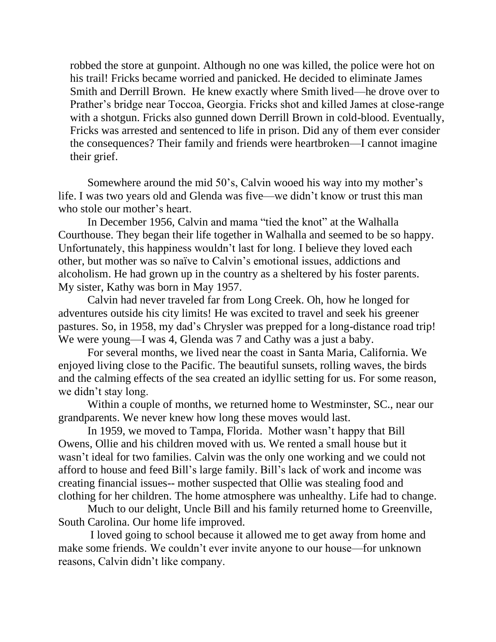robbed the store at gunpoint. Although no one was killed, the police were hot on his trail! Fricks became worried and panicked. He decided to eliminate James Smith and Derrill Brown. He knew exactly where Smith lived—he drove over to Prather's bridge near Toccoa, Georgia. Fricks shot and killed James at close-range with a shotgun. Fricks also gunned down Derrill Brown in cold-blood. Eventually, Fricks was arrested and sentenced to life in prison. Did any of them ever consider the consequences? Their family and friends were heartbroken—I cannot imagine their grief.

Somewhere around the mid 50's, Calvin wooed his way into my mother's life. I was two years old and Glenda was five—we didn't know or trust this man who stole our mother's heart.

In December 1956, Calvin and mama "tied the knot" at the Walhalla Courthouse. They began their life together in Walhalla and seemed to be so happy. Unfortunately, this happiness wouldn't last for long. I believe they loved each other, but mother was so naïve to Calvin's emotional issues, addictions and alcoholism. He had grown up in the country as a sheltered by his foster parents. My sister, Kathy was born in May 1957.

Calvin had never traveled far from Long Creek. Oh, how he longed for adventures outside his city limits! He was excited to travel and seek his greener pastures. So, in 1958, my dad's Chrysler was prepped for a long-distance road trip! We were young—I was 4, Glenda was 7 and Cathy was a just a baby.

For several months, we lived near the coast in Santa Maria, California. We enjoyed living close to the Pacific. The beautiful sunsets, rolling waves, the birds and the calming effects of the sea created an idyllic setting for us. For some reason, we didn't stay long.

Within a couple of months, we returned home to Westminster, SC., near our grandparents. We never knew how long these moves would last.

In 1959, we moved to Tampa, Florida. Mother wasn't happy that Bill Owens, Ollie and his children moved with us. We rented a small house but it wasn't ideal for two families. Calvin was the only one working and we could not afford to house and feed Bill's large family. Bill's lack of work and income was creating financial issues-- mother suspected that Ollie was stealing food and clothing for her children. The home atmosphere was unhealthy. Life had to change.

Much to our delight, Uncle Bill and his family returned home to Greenville, South Carolina. Our home life improved.

I loved going to school because it allowed me to get away from home and make some friends. We couldn't ever invite anyone to our house—for unknown reasons, Calvin didn't like company.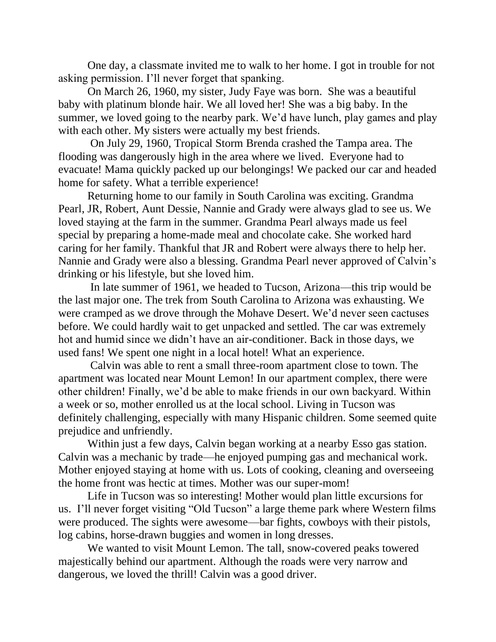One day, a classmate invited me to walk to her home. I got in trouble for not asking permission. I'll never forget that spanking.

On March 26, 1960, my sister, Judy Faye was born. She was a beautiful baby with platinum blonde hair. We all loved her! She was a big baby. In the summer, we loved going to the nearby park. We'd have lunch, play games and play with each other. My sisters were actually my best friends.

On July 29, 1960, Tropical Storm Brenda crashed the Tampa area. The flooding was dangerously high in the area where we lived. Everyone had to evacuate! Mama quickly packed up our belongings! We packed our car and headed home for safety. What a terrible experience!

Returning home to our family in South Carolina was exciting. Grandma Pearl, JR, Robert, Aunt Dessie, Nannie and Grady were always glad to see us. We loved staying at the farm in the summer. Grandma Pearl always made us feel special by preparing a home-made meal and chocolate cake. She worked hard caring for her family. Thankful that JR and Robert were always there to help her. Nannie and Grady were also a blessing. Grandma Pearl never approved of Calvin's drinking or his lifestyle, but she loved him.

In late summer of 1961, we headed to Tucson, Arizona—this trip would be the last major one. The trek from South Carolina to Arizona was exhausting. We were cramped as we drove through the Mohave Desert. We'd never seen cactuses before. We could hardly wait to get unpacked and settled. The car was extremely hot and humid since we didn't have an air-conditioner. Back in those days, we used fans! We spent one night in a local hotel! What an experience.

Calvin was able to rent a small three-room apartment close to town. The apartment was located near Mount Lemon! In our apartment complex, there were other children! Finally, we'd be able to make friends in our own backyard. Within a week or so, mother enrolled us at the local school. Living in Tucson was definitely challenging, especially with many Hispanic children. Some seemed quite prejudice and unfriendly.

Within just a few days, Calvin began working at a nearby Esso gas station. Calvin was a mechanic by trade—he enjoyed pumping gas and mechanical work. Mother enjoyed staying at home with us. Lots of cooking, cleaning and overseeing the home front was hectic at times. Mother was our super-mom!

Life in Tucson was so interesting! Mother would plan little excursions for us. I'll never forget visiting "Old Tucson" a large theme park where Western films were produced. The sights were awesome—bar fights, cowboys with their pistols, log cabins, horse-drawn buggies and women in long dresses.

We wanted to visit Mount Lemon. The tall, snow-covered peaks towered majestically behind our apartment. Although the roads were very narrow and dangerous, we loved the thrill! Calvin was a good driver.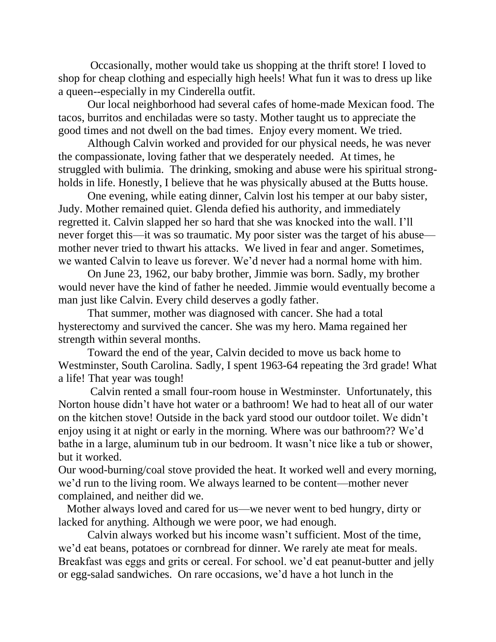Occasionally, mother would take us shopping at the thrift store! I loved to shop for cheap clothing and especially high heels! What fun it was to dress up like a queen--especially in my Cinderella outfit.

Our local neighborhood had several cafes of home-made Mexican food. The tacos, burritos and enchiladas were so tasty. Mother taught us to appreciate the good times and not dwell on the bad times. Enjoy every moment. We tried.

Although Calvin worked and provided for our physical needs, he was never the compassionate, loving father that we desperately needed. At times, he struggled with bulimia. The drinking, smoking and abuse were his spiritual strongholds in life. Honestly, I believe that he was physically abused at the Butts house.

One evening, while eating dinner, Calvin lost his temper at our baby sister, Judy. Mother remained quiet. Glenda defied his authority, and immediately regretted it. Calvin slapped her so hard that she was knocked into the wall. I'll never forget this—it was so traumatic. My poor sister was the target of his abuse mother never tried to thwart his attacks. We lived in fear and anger. Sometimes, we wanted Calvin to leave us forever. We'd never had a normal home with him.

On June 23, 1962, our baby brother, Jimmie was born. Sadly, my brother would never have the kind of father he needed. Jimmie would eventually become a man just like Calvin. Every child deserves a godly father.

That summer, mother was diagnosed with cancer. She had a total hysterectomy and survived the cancer. She was my hero. Mama regained her strength within several months.

Toward the end of the year, Calvin decided to move us back home to Westminster, South Carolina. Sadly, I spent 1963-64 repeating the 3rd grade! What a life! That year was tough!

Calvin rented a small four-room house in Westminster. Unfortunately, this Norton house didn't have hot water or a bathroom! We had to heat all of our water on the kitchen stove! Outside in the back yard stood our outdoor toilet. We didn't enjoy using it at night or early in the morning. Where was our bathroom?? We'd bathe in a large, aluminum tub in our bedroom. It wasn't nice like a tub or shower, but it worked.

Our wood-burning/coal stove provided the heat. It worked well and every morning, we'd run to the living room. We always learned to be content—mother never complained, and neither did we.

Mother always loved and cared for us—we never went to bed hungry, dirty or lacked for anything. Although we were poor, we had enough.

Calvin always worked but his income wasn't sufficient. Most of the time, we'd eat beans, potatoes or cornbread for dinner. We rarely ate meat for meals. Breakfast was eggs and grits or cereal. For school. we'd eat peanut-butter and jelly or egg-salad sandwiches. On rare occasions, we'd have a hot lunch in the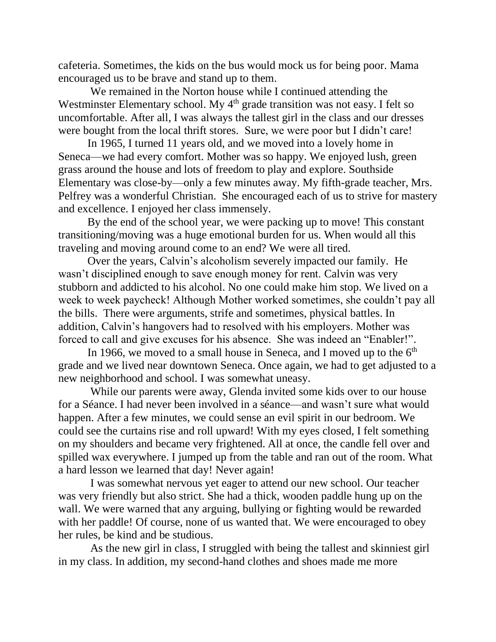cafeteria. Sometimes, the kids on the bus would mock us for being poor. Mama encouraged us to be brave and stand up to them.

We remained in the Norton house while I continued attending the Westminster Elementary school. My 4<sup>th</sup> grade transition was not easy. I felt so uncomfortable. After all, I was always the tallest girl in the class and our dresses were bought from the local thrift stores. Sure, we were poor but I didn't care!

In 1965, I turned 11 years old, and we moved into a lovely home in Seneca—we had every comfort. Mother was so happy. We enjoyed lush, green grass around the house and lots of freedom to play and explore. Southside Elementary was close-by—only a few minutes away. My fifth-grade teacher, Mrs. Pelfrey was a wonderful Christian. She encouraged each of us to strive for mastery and excellence. I enjoyed her class immensely.

By the end of the school year, we were packing up to move! This constant transitioning/moving was a huge emotional burden for us. When would all this traveling and moving around come to an end? We were all tired.

Over the years, Calvin's alcoholism severely impacted our family. He wasn't disciplined enough to save enough money for rent. Calvin was very stubborn and addicted to his alcohol. No one could make him stop. We lived on a week to week paycheck! Although Mother worked sometimes, she couldn't pay all the bills. There were arguments, strife and sometimes, physical battles. In addition, Calvin's hangovers had to resolved with his employers. Mother was forced to call and give excuses for his absence. She was indeed an "Enabler!".

In 1966, we moved to a small house in Seneca, and I moved up to the  $6<sup>th</sup>$ grade and we lived near downtown Seneca. Once again, we had to get adjusted to a new neighborhood and school. I was somewhat uneasy.

While our parents were away, Glenda invited some kids over to our house for a Séance. I had never been involved in a séance—and wasn't sure what would happen. After a few minutes, we could sense an evil spirit in our bedroom. We could see the curtains rise and roll upward! With my eyes closed, I felt something on my shoulders and became very frightened. All at once, the candle fell over and spilled wax everywhere. I jumped up from the table and ran out of the room. What a hard lesson we learned that day! Never again!

I was somewhat nervous yet eager to attend our new school. Our teacher was very friendly but also strict. She had a thick, wooden paddle hung up on the wall. We were warned that any arguing, bullying or fighting would be rewarded with her paddle! Of course, none of us wanted that. We were encouraged to obey her rules, be kind and be studious.

As the new girl in class, I struggled with being the tallest and skinniest girl in my class. In addition, my second-hand clothes and shoes made me more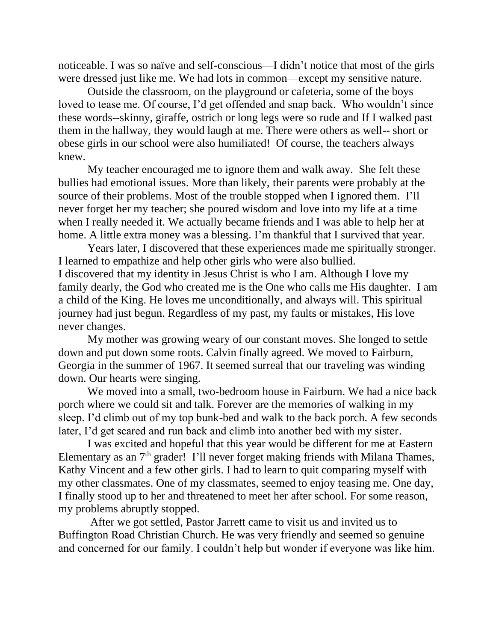noticeable. I was so naïve and self-conscious—I didn't notice that most of the girls were dressed just like me. We had lots in common—except my sensitive nature.

Outside the classroom, on the playground or cafeteria, some of the boys loved to tease me. Of course, I'd get offended and snap back. Who wouldn't since these words--skinny, giraffe, ostrich or long legs were so rude and If I walked past them in the hallway, they would laugh at me. There were others as well-- short or obese girls in our school were also humiliated! Of course, the teachers always knew.

My teacher encouraged me to ignore them and walk away. She felt these bullies had emotional issues. More than likely, their parents were probably at the source of their problems. Most of the trouble stopped when I ignored them. I'll never forget her my teacher; she poured wisdom and love into my life at a time when I really needed it. We actually became friends and I was able to help her at home. A little extra money was a blessing. I'm thankful that I survived that year.

Years later, I discovered that these experiences made me spiritually stronger. I learned to empathize and help other girls who were also bullied. I discovered that my identity in Jesus Christ is who I am. Although I love my family dearly, the God who created me is the One who calls me His daughter. I am a child of the King. He loves me unconditionally, and always will. This spiritual journey had just begun. Regardless of my past, my faults or mistakes, His love never changes.

My mother was growing weary of our constant moves. She longed to settle down and put down some roots. Calvin finally agreed. We moved to Fairburn, Georgia in the summer of 1967. It seemed surreal that our traveling was winding down. Our hearts were singing.

We moved into a small, two-bedroom house in Fairburn. We had a nice back porch where we could sit and talk. Forever are the memories of walking in my sleep. I'd climb out of my top bunk-bed and walk to the back porch. A few seconds later, I'd get scared and run back and climb into another bed with my sister.

I was excited and hopeful that this year would be different for me at Eastern Elementary as an 7th grader! I'll never forget making friends with Milana Thames, Kathy Vincent and a few other girls. I had to learn to quit comparing myself with my other classmates. One of my classmates, seemed to enjoy teasing me. One day, I finally stood up to her and threatened to meet her after school. For some reason, my problems abruptly stopped.

After we got settled, Pastor Jarrett came to visit us and invited us to Buffington Road Christian Church. He was very friendly and seemed so genuine and concerned for our family. I couldn't help but wonder if everyone was like him.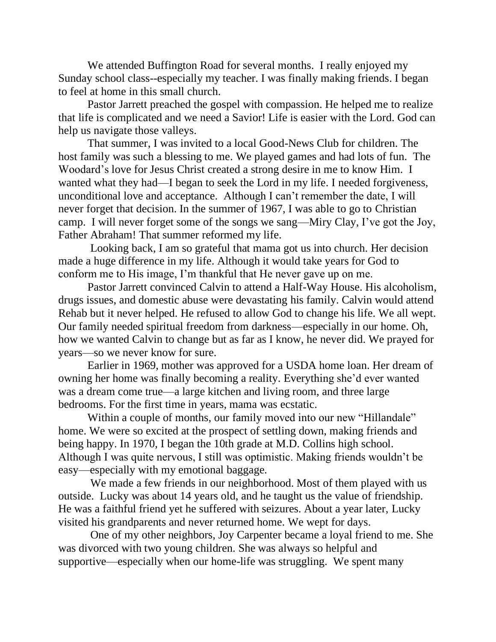We attended Buffington Road for several months. I really enjoyed my Sunday school class--especially my teacher. I was finally making friends. I began to feel at home in this small church.

Pastor Jarrett preached the gospel with compassion. He helped me to realize that life is complicated and we need a Savior! Life is easier with the Lord. God can help us navigate those valleys.

That summer, I was invited to a local Good-News Club for children. The host family was such a blessing to me. We played games and had lots of fun. The Woodard's love for Jesus Christ created a strong desire in me to know Him. I wanted what they had—I began to seek the Lord in my life. I needed forgiveness, unconditional love and acceptance. Although I can't remember the date, I will never forget that decision. In the summer of 1967, I was able to go to Christian camp. I will never forget some of the songs we sang—Miry Clay, I've got the Joy, Father Abraham! That summer reformed my life.

Looking back, I am so grateful that mama got us into church. Her decision made a huge difference in my life. Although it would take years for God to conform me to His image, I'm thankful that He never gave up on me.

Pastor Jarrett convinced Calvin to attend a Half-Way House. His alcoholism, drugs issues, and domestic abuse were devastating his family. Calvin would attend Rehab but it never helped. He refused to allow God to change his life. We all wept. Our family needed spiritual freedom from darkness—especially in our home. Oh, how we wanted Calvin to change but as far as I know, he never did. We prayed for years—so we never know for sure.

Earlier in 1969, mother was approved for a USDA home loan. Her dream of owning her home was finally becoming a reality. Everything she'd ever wanted was a dream come true—a large kitchen and living room, and three large bedrooms. For the first time in years, mama was ecstatic.

Within a couple of months, our family moved into our new "Hillandale" home. We were so excited at the prospect of settling down, making friends and being happy. In 1970, I began the 10th grade at M.D. Collins high school. Although I was quite nervous, I still was optimistic. Making friends wouldn't be easy—especially with my emotional baggage.

We made a few friends in our neighborhood. Most of them played with us outside. Lucky was about 14 years old, and he taught us the value of friendship. He was a faithful friend yet he suffered with seizures. About a year later, Lucky visited his grandparents and never returned home. We wept for days.

One of my other neighbors, Joy Carpenter became a loyal friend to me. She was divorced with two young children. She was always so helpful and supportive—especially when our home-life was struggling. We spent many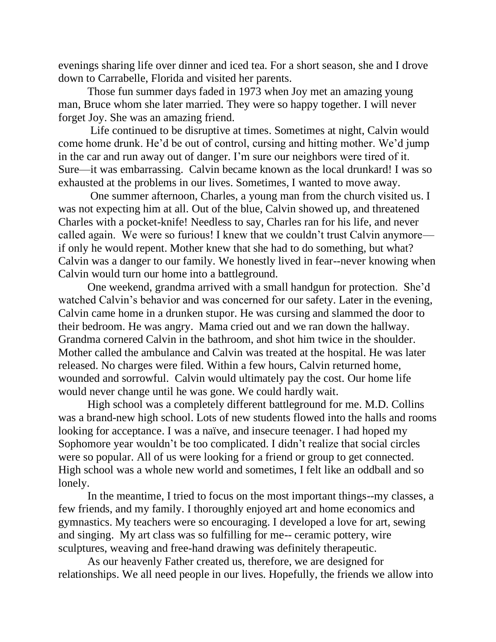evenings sharing life over dinner and iced tea. For a short season, she and I drove down to Carrabelle, Florida and visited her parents.

Those fun summer days faded in 1973 when Joy met an amazing young man, Bruce whom she later married. They were so happy together. I will never forget Joy. She was an amazing friend.

Life continued to be disruptive at times. Sometimes at night, Calvin would come home drunk. He'd be out of control, cursing and hitting mother. We'd jump in the car and run away out of danger. I'm sure our neighbors were tired of it. Sure—it was embarrassing. Calvin became known as the local drunkard! I was so exhausted at the problems in our lives. Sometimes, I wanted to move away.

One summer afternoon, Charles, a young man from the church visited us. I was not expecting him at all. Out of the blue, Calvin showed up, and threatened Charles with a pocket-knife! Needless to say, Charles ran for his life, and never called again. We were so furious! I knew that we couldn't trust Calvin anymore if only he would repent. Mother knew that she had to do something, but what? Calvin was a danger to our family. We honestly lived in fear--never knowing when Calvin would turn our home into a battleground.

One weekend, grandma arrived with a small handgun for protection. She'd watched Calvin's behavior and was concerned for our safety. Later in the evening, Calvin came home in a drunken stupor. He was cursing and slammed the door to their bedroom. He was angry. Mama cried out and we ran down the hallway. Grandma cornered Calvin in the bathroom, and shot him twice in the shoulder. Mother called the ambulance and Calvin was treated at the hospital. He was later released. No charges were filed. Within a few hours, Calvin returned home, wounded and sorrowful. Calvin would ultimately pay the cost. Our home life would never change until he was gone. We could hardly wait.

High school was a completely different battleground for me. M.D. Collins was a brand-new high school. Lots of new students flowed into the halls and rooms looking for acceptance. I was a naïve, and insecure teenager. I had hoped my Sophomore year wouldn't be too complicated. I didn't realize that social circles were so popular. All of us were looking for a friend or group to get connected. High school was a whole new world and sometimes, I felt like an oddball and so lonely.

In the meantime, I tried to focus on the most important things--my classes, a few friends, and my family. I thoroughly enjoyed art and home economics and gymnastics. My teachers were so encouraging. I developed a love for art, sewing and singing. My art class was so fulfilling for me-- ceramic pottery, wire sculptures, weaving and free-hand drawing was definitely therapeutic.

As our heavenly Father created us, therefore, we are designed for relationships. We all need people in our lives. Hopefully, the friends we allow into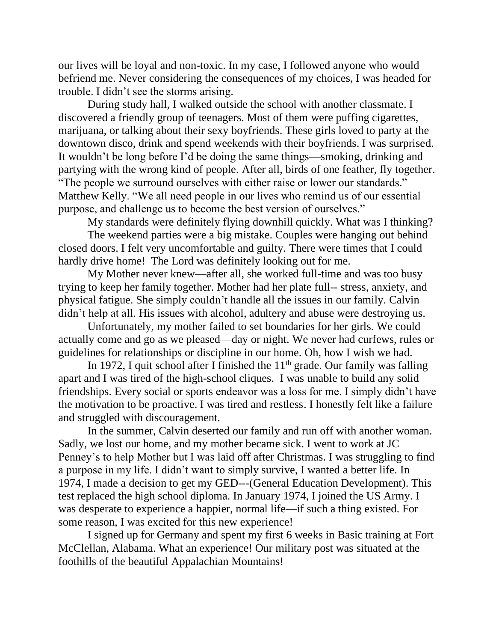our lives will be loyal and non-toxic. In my case, I followed anyone who would befriend me. Never considering the consequences of my choices, I was headed for trouble. I didn't see the storms arising.

During study hall, I walked outside the school with another classmate. I discovered a friendly group of teenagers. Most of them were puffing cigarettes, marijuana, or talking about their sexy boyfriends. These girls loved to party at the downtown disco, drink and spend weekends with their boyfriends. I was surprised. It wouldn't be long before I'd be doing the same things—smoking, drinking and partying with the wrong kind of people. After all, birds of one feather, fly together. "The people we surround ourselves with either raise or lower our standards." Matthew Kelly. "We all need people in our lives who remind us of our essential purpose, and challenge us to become the best version of ourselves."

My standards were definitely flying downhill quickly. What was I thinking?

The weekend parties were a big mistake. Couples were hanging out behind closed doors. I felt very uncomfortable and guilty. There were times that I could hardly drive home! The Lord was definitely looking out for me.

My Mother never knew—after all, she worked full-time and was too busy trying to keep her family together. Mother had her plate full-- stress, anxiety, and physical fatigue. She simply couldn't handle all the issues in our family. Calvin didn't help at all. His issues with alcohol, adultery and abuse were destroying us.

Unfortunately, my mother failed to set boundaries for her girls. We could actually come and go as we pleased—day or night. We never had curfews, rules or guidelines for relationships or discipline in our home. Oh, how I wish we had.

In 1972, I quit school after I finished the  $11<sup>th</sup>$  grade. Our family was falling apart and I was tired of the high-school cliques. I was unable to build any solid friendships. Every social or sports endeavor was a loss for me. I simply didn't have the motivation to be proactive. I was tired and restless. I honestly felt like a failure and struggled with discouragement.

In the summer, Calvin deserted our family and run off with another woman. Sadly, we lost our home, and my mother became sick. I went to work at JC Penney's to help Mother but I was laid off after Christmas. I was struggling to find a purpose in my life. I didn't want to simply survive, I wanted a better life. In 1974, I made a decision to get my GED---(General Education Development). This test replaced the high school diploma. In January 1974, I joined the US Army. I was desperate to experience a happier, normal life—if such a thing existed. For some reason, I was excited for this new experience!

I signed up for Germany and spent my first 6 weeks in Basic training at Fort McClellan, Alabama. What an experience! Our military post was situated at the foothills of the beautiful Appalachian Mountains!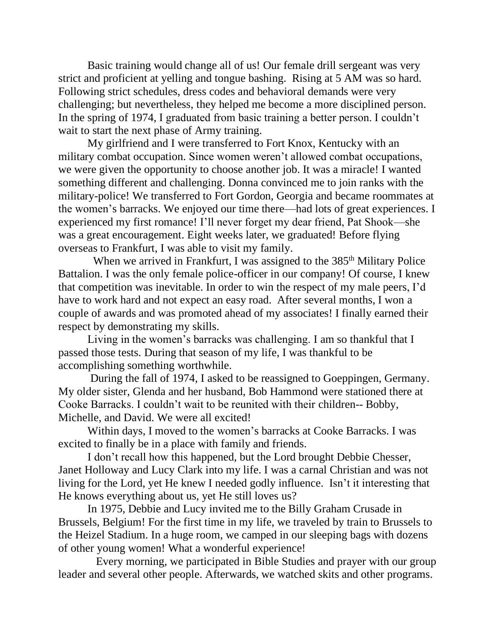Basic training would change all of us! Our female drill sergeant was very strict and proficient at yelling and tongue bashing. Rising at 5 AM was so hard. Following strict schedules, dress codes and behavioral demands were very challenging; but nevertheless, they helped me become a more disciplined person. In the spring of 1974, I graduated from basic training a better person. I couldn't wait to start the next phase of Army training.

My girlfriend and I were transferred to Fort Knox, Kentucky with an military combat occupation. Since women weren't allowed combat occupations, we were given the opportunity to choose another job. It was a miracle! I wanted something different and challenging. Donna convinced me to join ranks with the military-police! We transferred to Fort Gordon, Georgia and became roommates at the women's barracks. We enjoyed our time there—had lots of great experiences. I experienced my first romance! I'll never forget my dear friend, Pat Shook—she was a great encouragement. Eight weeks later, we graduated! Before flying overseas to Frankfurt, I was able to visit my family.

When we arrived in Frankfurt, I was assigned to the 385<sup>th</sup> Military Police Battalion. I was the only female police-officer in our company! Of course, I knew that competition was inevitable. In order to win the respect of my male peers, I'd have to work hard and not expect an easy road. After several months, I won a couple of awards and was promoted ahead of my associates! I finally earned their respect by demonstrating my skills.

Living in the women's barracks was challenging. I am so thankful that I passed those tests. During that season of my life, I was thankful to be accomplishing something worthwhile.

During the fall of 1974, I asked to be reassigned to Goeppingen, Germany. My older sister, Glenda and her husband, Bob Hammond were stationed there at Cooke Barracks. I couldn't wait to be reunited with their children-- Bobby, Michelle, and David. We were all excited!

Within days, I moved to the women's barracks at Cooke Barracks. I was excited to finally be in a place with family and friends.

I don't recall how this happened, but the Lord brought Debbie Chesser, Janet Holloway and Lucy Clark into my life. I was a carnal Christian and was not living for the Lord, yet He knew I needed godly influence. Isn't it interesting that He knows everything about us, yet He still loves us?

In 1975, Debbie and Lucy invited me to the Billy Graham Crusade in Brussels, Belgium! For the first time in my life, we traveled by train to Brussels to the Heizel Stadium. In a huge room, we camped in our sleeping bags with dozens of other young women! What a wonderful experience!

Every morning, we participated in Bible Studies and prayer with our group leader and several other people. Afterwards, we watched skits and other programs.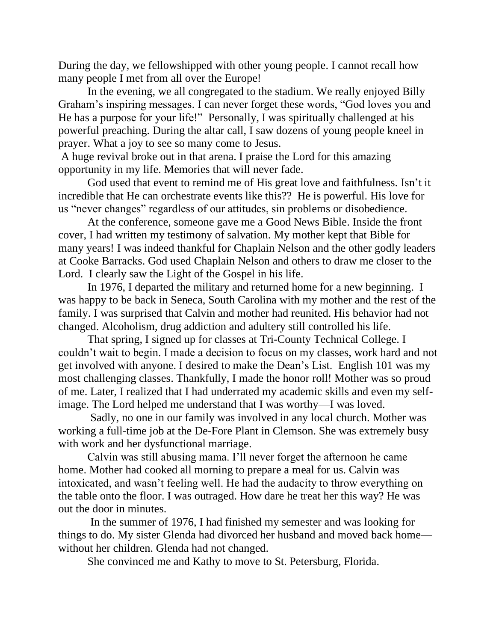During the day, we fellowshipped with other young people. I cannot recall how many people I met from all over the Europe!

In the evening, we all congregated to the stadium. We really enjoyed Billy Graham's inspiring messages. I can never forget these words, "God loves you and He has a purpose for your life!" Personally, I was spiritually challenged at his powerful preaching. During the altar call, I saw dozens of young people kneel in prayer. What a joy to see so many come to Jesus.

A huge revival broke out in that arena. I praise the Lord for this amazing opportunity in my life. Memories that will never fade.

God used that event to remind me of His great love and faithfulness. Isn't it incredible that He can orchestrate events like this?? He is powerful. His love for us "never changes" regardless of our attitudes, sin problems or disobedience.

At the conference, someone gave me a Good News Bible. Inside the front cover, I had written my testimony of salvation. My mother kept that Bible for many years! I was indeed thankful for Chaplain Nelson and the other godly leaders at Cooke Barracks. God used Chaplain Nelson and others to draw me closer to the Lord. I clearly saw the Light of the Gospel in his life.

In 1976, I departed the military and returned home for a new beginning. I was happy to be back in Seneca, South Carolina with my mother and the rest of the family. I was surprised that Calvin and mother had reunited. His behavior had not changed. Alcoholism, drug addiction and adultery still controlled his life.

That spring, I signed up for classes at Tri-County Technical College. I couldn't wait to begin. I made a decision to focus on my classes, work hard and not get involved with anyone. I desired to make the Dean's List. English 101 was my most challenging classes. Thankfully, I made the honor roll! Mother was so proud of me. Later, I realized that I had underrated my academic skills and even my selfimage. The Lord helped me understand that I was worthy—I was loved.

Sadly, no one in our family was involved in any local church. Mother was working a full-time job at the De-Fore Plant in Clemson. She was extremely busy with work and her dysfunctional marriage.

Calvin was still abusing mama. I'll never forget the afternoon he came home. Mother had cooked all morning to prepare a meal for us. Calvin was intoxicated, and wasn't feeling well. He had the audacity to throw everything on the table onto the floor. I was outraged. How dare he treat her this way? He was out the door in minutes.

In the summer of 1976, I had finished my semester and was looking for things to do. My sister Glenda had divorced her husband and moved back home without her children. Glenda had not changed.

She convinced me and Kathy to move to St. Petersburg, Florida.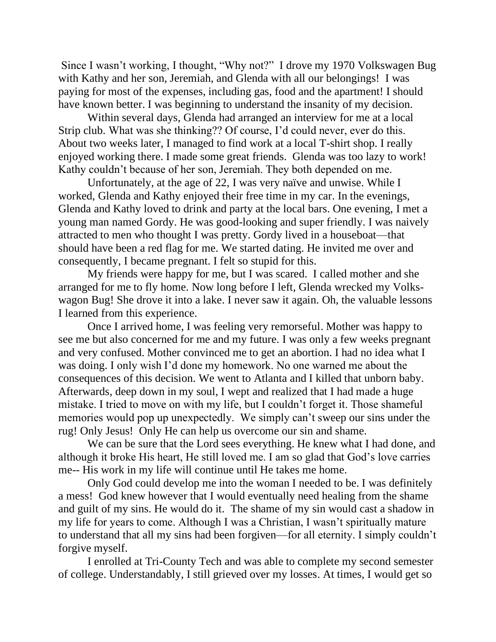Since I wasn't working, I thought, "Why not?" I drove my 1970 Volkswagen Bug with Kathy and her son, Jeremiah, and Glenda with all our belongings! I was paying for most of the expenses, including gas, food and the apartment! I should have known better. I was beginning to understand the insanity of my decision.

Within several days, Glenda had arranged an interview for me at a local Strip club. What was she thinking?? Of course, I'd could never, ever do this. About two weeks later, I managed to find work at a local T-shirt shop. I really enjoyed working there. I made some great friends. Glenda was too lazy to work! Kathy couldn't because of her son, Jeremiah. They both depended on me.

Unfortunately, at the age of 22, I was very naïve and unwise. While I worked, Glenda and Kathy enjoyed their free time in my car. In the evenings, Glenda and Kathy loved to drink and party at the local bars. One evening, I met a young man named Gordy. He was good-looking and super friendly. I was naively attracted to men who thought I was pretty. Gordy lived in a houseboat—that should have been a red flag for me. We started dating. He invited me over and consequently, I became pregnant. I felt so stupid for this.

My friends were happy for me, but I was scared. I called mother and she arranged for me to fly home. Now long before I left, Glenda wrecked my Volkswagon Bug! She drove it into a lake. I never saw it again. Oh, the valuable lessons I learned from this experience.

Once I arrived home, I was feeling very remorseful. Mother was happy to see me but also concerned for me and my future. I was only a few weeks pregnant and very confused. Mother convinced me to get an abortion. I had no idea what I was doing. I only wish I'd done my homework. No one warned me about the consequences of this decision. We went to Atlanta and I killed that unborn baby. Afterwards, deep down in my soul, I wept and realized that I had made a huge mistake. I tried to move on with my life, but I couldn't forget it. Those shameful memories would pop up unexpectedly. We simply can't sweep our sins under the rug! Only Jesus! Only He can help us overcome our sin and shame.

We can be sure that the Lord sees everything. He knew what I had done, and although it broke His heart, He still loved me. I am so glad that God's love carries me-- His work in my life will continue until He takes me home.

Only God could develop me into the woman I needed to be. I was definitely a mess! God knew however that I would eventually need healing from the shame and guilt of my sins. He would do it. The shame of my sin would cast a shadow in my life for years to come. Although I was a Christian, I wasn't spiritually mature to understand that all my sins had been forgiven—for all eternity. I simply couldn't forgive myself.

I enrolled at Tri-County Tech and was able to complete my second semester of college. Understandably, I still grieved over my losses. At times, I would get so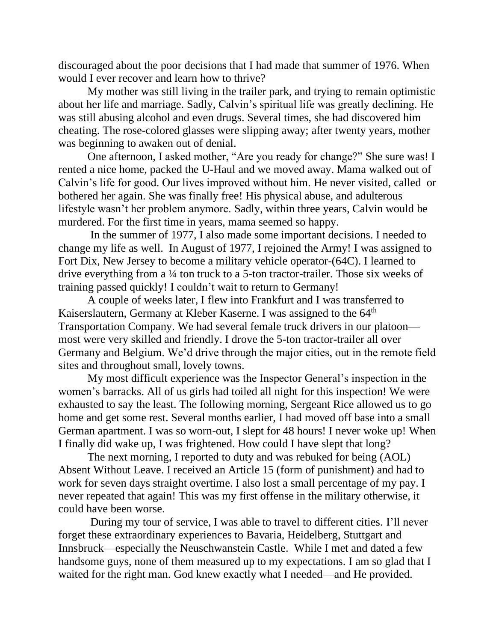discouraged about the poor decisions that I had made that summer of 1976. When would I ever recover and learn how to thrive?

My mother was still living in the trailer park, and trying to remain optimistic about her life and marriage. Sadly, Calvin's spiritual life was greatly declining. He was still abusing alcohol and even drugs. Several times, she had discovered him cheating. The rose-colored glasses were slipping away; after twenty years, mother was beginning to awaken out of denial.

One afternoon, I asked mother, "Are you ready for change?" She sure was! I rented a nice home, packed the U-Haul and we moved away. Mama walked out of Calvin's life for good. Our lives improved without him. He never visited, called or bothered her again. She was finally free! His physical abuse, and adulterous lifestyle wasn't her problem anymore. Sadly, within three years, Calvin would be murdered. For the first time in years, mama seemed so happy.

In the summer of 1977, I also made some important decisions. I needed to change my life as well. In August of 1977, I rejoined the Army! I was assigned to Fort Dix, New Jersey to become a military vehicle operator-(64C). I learned to drive everything from a ¼ ton truck to a 5-ton tractor-trailer. Those six weeks of training passed quickly! I couldn't wait to return to Germany!

A couple of weeks later, I flew into Frankfurt and I was transferred to Kaiserslautern, Germany at Kleber Kaserne. I was assigned to the 64<sup>th</sup> Transportation Company. We had several female truck drivers in our platoon most were very skilled and friendly. I drove the 5-ton tractor-trailer all over Germany and Belgium. We'd drive through the major cities, out in the remote field sites and throughout small, lovely towns.

My most difficult experience was the Inspector General's inspection in the women's barracks. All of us girls had toiled all night for this inspection! We were exhausted to say the least. The following morning, Sergeant Rice allowed us to go home and get some rest. Several months earlier, I had moved off base into a small German apartment. I was so worn-out, I slept for 48 hours! I never woke up! When I finally did wake up, I was frightened. How could I have slept that long?

The next morning, I reported to duty and was rebuked for being (AOL) Absent Without Leave. I received an Article 15 (form of punishment) and had to work for seven days straight overtime. I also lost a small percentage of my pay. I never repeated that again! This was my first offense in the military otherwise, it could have been worse.

During my tour of service, I was able to travel to different cities. I'll never forget these extraordinary experiences to Bavaria, Heidelberg, Stuttgart and Innsbruck—especially the Neuschwanstein Castle. While I met and dated a few handsome guys, none of them measured up to my expectations. I am so glad that I waited for the right man. God knew exactly what I needed—and He provided.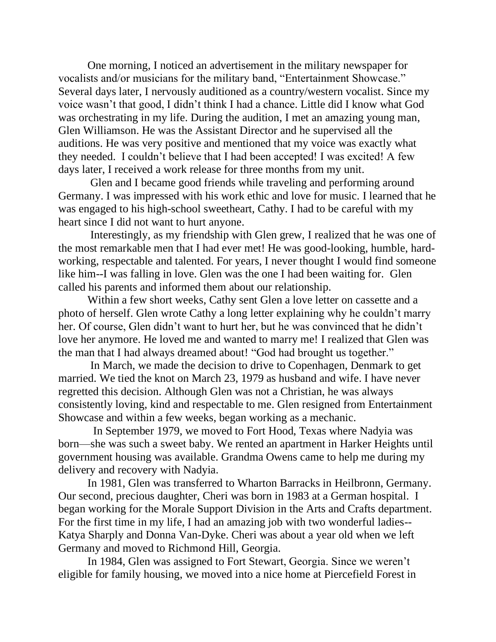One morning, I noticed an advertisement in the military newspaper for vocalists and/or musicians for the military band, "Entertainment Showcase." Several days later, I nervously auditioned as a country/western vocalist. Since my voice wasn't that good, I didn't think I had a chance. Little did I know what God was orchestrating in my life. During the audition, I met an amazing young man, Glen Williamson. He was the Assistant Director and he supervised all the auditions. He was very positive and mentioned that my voice was exactly what they needed. I couldn't believe that I had been accepted! I was excited! A few days later, I received a work release for three months from my unit.

Glen and I became good friends while traveling and performing around Germany. I was impressed with his work ethic and love for music. I learned that he was engaged to his high-school sweetheart, Cathy. I had to be careful with my heart since I did not want to hurt anyone.

Interestingly, as my friendship with Glen grew, I realized that he was one of the most remarkable men that I had ever met! He was good-looking, humble, hardworking, respectable and talented. For years, I never thought I would find someone like him--I was falling in love. Glen was the one I had been waiting for. Glen called his parents and informed them about our relationship.

Within a few short weeks, Cathy sent Glen a love letter on cassette and a photo of herself. Glen wrote Cathy a long letter explaining why he couldn't marry her. Of course, Glen didn't want to hurt her, but he was convinced that he didn't love her anymore. He loved me and wanted to marry me! I realized that Glen was the man that I had always dreamed about! "God had brought us together."

In March, we made the decision to drive to Copenhagen, Denmark to get married. We tied the knot on March 23, 1979 as husband and wife. I have never regretted this decision. Although Glen was not a Christian, he was always consistently loving, kind and respectable to me. Glen resigned from Entertainment Showcase and within a few weeks, began working as a mechanic.

In September 1979, we moved to Fort Hood, Texas where Nadyia was born—she was such a sweet baby. We rented an apartment in Harker Heights until government housing was available. Grandma Owens came to help me during my delivery and recovery with Nadyia.

In 1981, Glen was transferred to Wharton Barracks in Heilbronn, Germany. Our second, precious daughter, Cheri was born in 1983 at a German hospital. I began working for the Morale Support Division in the Arts and Crafts department. For the first time in my life, I had an amazing job with two wonderful ladies-- Katya Sharply and Donna Van-Dyke. Cheri was about a year old when we left Germany and moved to Richmond Hill, Georgia.

In 1984, Glen was assigned to Fort Stewart, Georgia. Since we weren't eligible for family housing, we moved into a nice home at Piercefield Forest in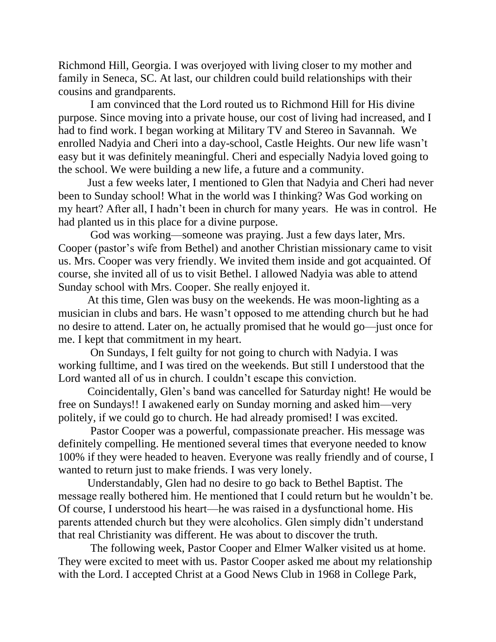Richmond Hill, Georgia. I was overjoyed with living closer to my mother and family in Seneca, SC. At last, our children could build relationships with their cousins and grandparents.

I am convinced that the Lord routed us to Richmond Hill for His divine purpose. Since moving into a private house, our cost of living had increased, and I had to find work. I began working at Military TV and Stereo in Savannah. We enrolled Nadyia and Cheri into a day-school, Castle Heights. Our new life wasn't easy but it was definitely meaningful. Cheri and especially Nadyia loved going to the school. We were building a new life, a future and a community.

Just a few weeks later, I mentioned to Glen that Nadyia and Cheri had never been to Sunday school! What in the world was I thinking? Was God working on my heart? After all, I hadn't been in church for many years. He was in control. He had planted us in this place for a divine purpose.

God was working—someone was praying. Just a few days later, Mrs. Cooper (pastor's wife from Bethel) and another Christian missionary came to visit us. Mrs. Cooper was very friendly. We invited them inside and got acquainted. Of course, she invited all of us to visit Bethel. I allowed Nadyia was able to attend Sunday school with Mrs. Cooper. She really enjoyed it.

At this time, Glen was busy on the weekends. He was moon-lighting as a musician in clubs and bars. He wasn't opposed to me attending church but he had no desire to attend. Later on, he actually promised that he would go—just once for me. I kept that commitment in my heart.

On Sundays, I felt guilty for not going to church with Nadyia. I was working fulltime, and I was tired on the weekends. But still I understood that the Lord wanted all of us in church. I couldn't escape this conviction.

Coincidentally, Glen's band was cancelled for Saturday night! He would be free on Sundays!! I awakened early on Sunday morning and asked him—very politely, if we could go to church. He had already promised! I was excited.

Pastor Cooper was a powerful, compassionate preacher. His message was definitely compelling. He mentioned several times that everyone needed to know 100% if they were headed to heaven. Everyone was really friendly and of course, I wanted to return just to make friends. I was very lonely.

Understandably, Glen had no desire to go back to Bethel Baptist. The message really bothered him. He mentioned that I could return but he wouldn't be. Of course, I understood his heart—he was raised in a dysfunctional home. His parents attended church but they were alcoholics. Glen simply didn't understand that real Christianity was different. He was about to discover the truth.

The following week, Pastor Cooper and Elmer Walker visited us at home. They were excited to meet with us. Pastor Cooper asked me about my relationship with the Lord. I accepted Christ at a Good News Club in 1968 in College Park,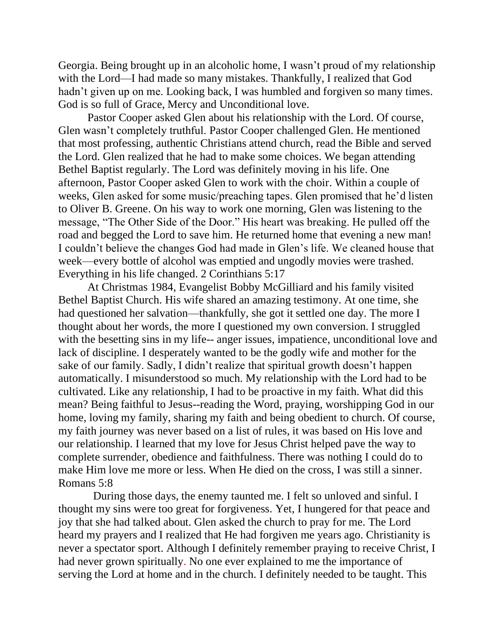Georgia. Being brought up in an alcoholic home, I wasn't proud of my relationship with the Lord—I had made so many mistakes. Thankfully, I realized that God hadn't given up on me. Looking back, I was humbled and forgiven so many times. God is so full of Grace, Mercy and Unconditional love.

Pastor Cooper asked Glen about his relationship with the Lord. Of course, Glen wasn't completely truthful. Pastor Cooper challenged Glen. He mentioned that most professing, authentic Christians attend church, read the Bible and served the Lord. Glen realized that he had to make some choices. We began attending Bethel Baptist regularly. The Lord was definitely moving in his life. One afternoon, Pastor Cooper asked Glen to work with the choir. Within a couple of weeks, Glen asked for some music/preaching tapes. Glen promised that he'd listen to Oliver B. Greene. On his way to work one morning, Glen was listening to the message, "The Other Side of the Door." His heart was breaking. He pulled off the road and begged the Lord to save him. He returned home that evening a new man! I couldn't believe the changes God had made in Glen's life. We cleaned house that week—every bottle of alcohol was emptied and ungodly movies were trashed. Everything in his life changed. 2 Corinthians 5:17

At Christmas 1984, Evangelist Bobby McGilliard and his family visited Bethel Baptist Church. His wife shared an amazing testimony. At one time, she had questioned her salvation—thankfully, she got it settled one day. The more I thought about her words, the more I questioned my own conversion. I struggled with the besetting sins in my life-- anger issues, impatience, unconditional love and lack of discipline. I desperately wanted to be the godly wife and mother for the sake of our family. Sadly, I didn't realize that spiritual growth doesn't happen automatically. I misunderstood so much. My relationship with the Lord had to be cultivated. Like any relationship, I had to be proactive in my faith. What did this mean? Being faithful to Jesus--reading the Word, praying, worshipping God in our home, loving my family, sharing my faith and being obedient to church. Of course, my faith journey was never based on a list of rules, it was based on His love and our relationship. I learned that my love for Jesus Christ helped pave the way to complete surrender, obedience and faithfulness. There was nothing I could do to make Him love me more or less. When He died on the cross, I was still a sinner. Romans 5:8

During those days, the enemy taunted me. I felt so unloved and sinful. I thought my sins were too great for forgiveness. Yet, I hungered for that peace and joy that she had talked about. Glen asked the church to pray for me. The Lord heard my prayers and I realized that He had forgiven me years ago. Christianity is never a spectator sport. Although I definitely remember praying to receive Christ, I had never grown spiritually. No one ever explained to me the importance of serving the Lord at home and in the church. I definitely needed to be taught. This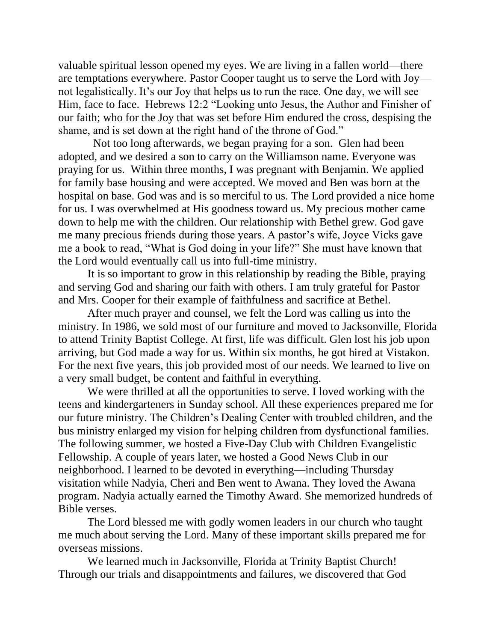valuable spiritual lesson opened my eyes. We are living in a fallen world—there are temptations everywhere. Pastor Cooper taught us to serve the Lord with Joy not legalistically. It's our Joy that helps us to run the race. One day, we will see Him, face to face. Hebrews 12:2 "Looking unto Jesus, the Author and Finisher of our faith; who for the Joy that was set before Him endured the cross, despising the shame, and is set down at the right hand of the throne of God."

Not too long afterwards, we began praying for a son. Glen had been adopted, and we desired a son to carry on the Williamson name. Everyone was praying for us. Within three months, I was pregnant with Benjamin. We applied for family base housing and were accepted. We moved and Ben was born at the hospital on base. God was and is so merciful to us. The Lord provided a nice home for us. I was overwhelmed at His goodness toward us. My precious mother came down to help me with the children. Our relationship with Bethel grew. God gave me many precious friends during those years. A pastor's wife, Joyce Vicks gave me a book to read, "What is God doing in your life?" She must have known that the Lord would eventually call us into full-time ministry.

It is so important to grow in this relationship by reading the Bible, praying and serving God and sharing our faith with others. I am truly grateful for Pastor and Mrs. Cooper for their example of faithfulness and sacrifice at Bethel.

After much prayer and counsel, we felt the Lord was calling us into the ministry. In 1986, we sold most of our furniture and moved to Jacksonville, Florida to attend Trinity Baptist College. At first, life was difficult. Glen lost his job upon arriving, but God made a way for us. Within six months, he got hired at Vistakon. For the next five years, this job provided most of our needs. We learned to live on a very small budget, be content and faithful in everything.

We were thrilled at all the opportunities to serve. I loved working with the teens and kindergarteners in Sunday school. All these experiences prepared me for our future ministry. The Children's Dealing Center with troubled children, and the bus ministry enlarged my vision for helping children from dysfunctional families. The following summer, we hosted a Five-Day Club with Children Evangelistic Fellowship. A couple of years later, we hosted a Good News Club in our neighborhood. I learned to be devoted in everything—including Thursday visitation while Nadyia, Cheri and Ben went to Awana. They loved the Awana program. Nadyia actually earned the Timothy Award. She memorized hundreds of Bible verses.

The Lord blessed me with godly women leaders in our church who taught me much about serving the Lord. Many of these important skills prepared me for overseas missions.

We learned much in Jacksonville, Florida at Trinity Baptist Church! Through our trials and disappointments and failures, we discovered that God